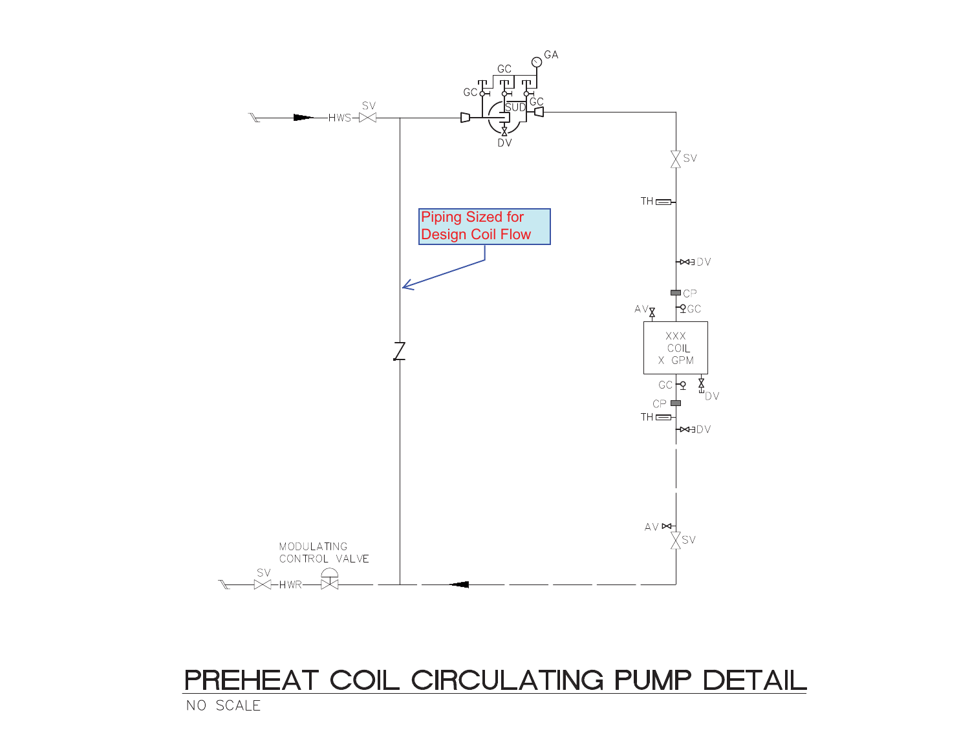

## PREHEAT COIL CIRCULATING PUMP DETAIL NO SCALE